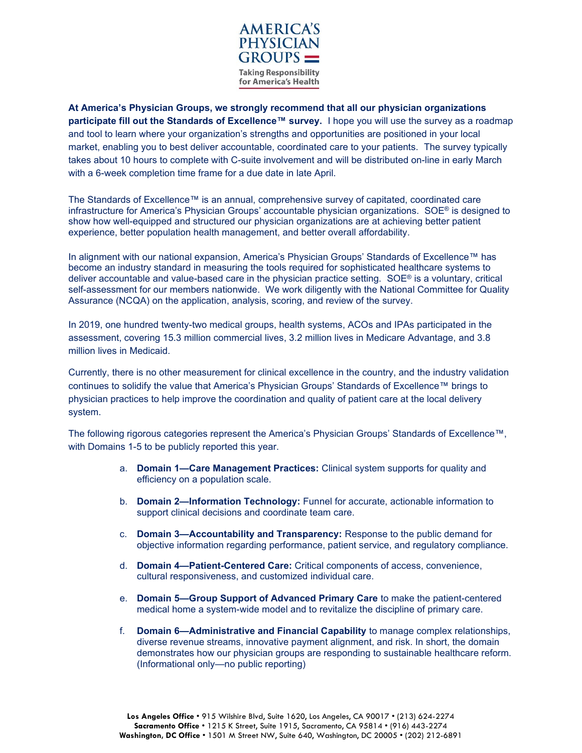

**At America's Physician Groups, we strongly recommend that all our physician organizations**  participate fill out the Standards of Excellence<sup>™</sup> survey. I hope you will use the survey as a roadmap and tool to learn where your organization's strengths and opportunities are positioned in your local market, enabling you to best deliver accountable, coordinated care to your patients. The survey typically takes about 10 hours to complete with C-suite involvement and will be distributed on-line in early March with a 6-week completion time frame for a due date in late April.

The Standards of Excellence™ is an annual, comprehensive survey of capitated, coordinated care infrastructure for America's Physician Groups' accountable physician organizations. SOE® is designed to show how well-equipped and structured our physician organizations are at achieving better patient experience, better population health management, and better overall affordability.

In alignment with our national expansion, America's Physician Groups' Standards of Excellence™ has become an industry standard in measuring the tools required for sophisticated healthcare systems to deliver accountable and value-based care in the physician practice setting. SOE® is a voluntary, critical self-assessment for our members nationwide. We work diligently with the National Committee for Quality Assurance (NCQA) on the application, analysis, scoring, and review of the survey.

In 2019, one hundred twenty-two medical groups, health systems, ACOs and IPAs participated in the assessment, covering 15.3 million commercial lives, 3.2 million lives in Medicare Advantage, and 3.8 million lives in Medicaid.

Currently, there is no other measurement for clinical excellence in the country, and the industry validation continues to solidify the value that America's Physician Groups' Standards of Excellence™ brings to physician practices to help improve the coordination and quality of patient care at the local delivery system.

The following rigorous categories represent the America's Physician Groups' Standards of Excellence™, with Domains 1-5 to be publicly reported this year.

- a. **Domain 1—Care Management Practices:** Clinical system supports for quality and efficiency on a population scale.
- b. **Domain 2—Information Technology:** Funnel for accurate, actionable information to support clinical decisions and coordinate team care.
- c. **Domain 3—Accountability and Transparency:** Response to the public demand for objective information regarding performance, patient service, and regulatory compliance.
- d. **Domain 4—Patient-Centered Care:** Critical components of access, convenience, cultural responsiveness, and customized individual care.
- e. **Domain 5—Group Support of Advanced Primary Care** to make the patient-centered medical home a system-wide model and to revitalize the discipline of primary care.
- f. **Domain 6—Administrative and Financial Capability** to manage complex relationships, diverse revenue streams, innovative payment alignment, and risk. In short, the domain demonstrates how our physician groups are responding to sustainable healthcare reform. (Informational only—no public reporting)